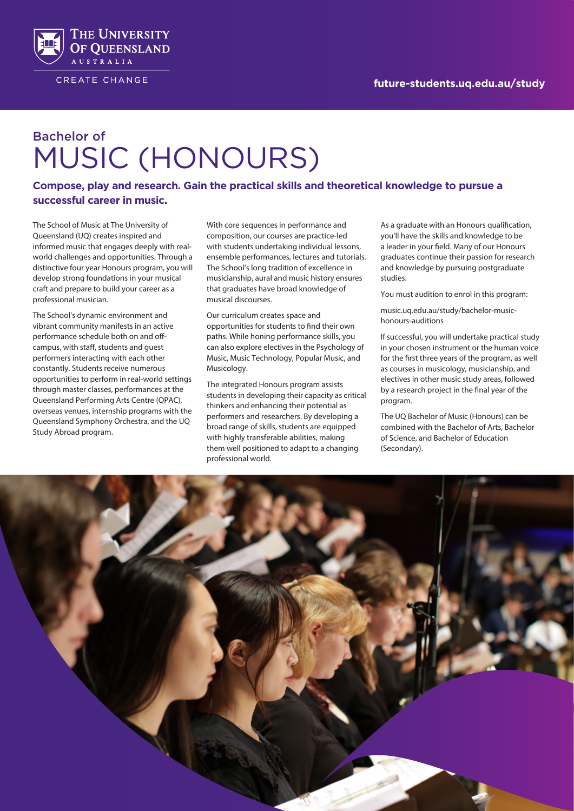

CREATE CHANGE

# Bachelor of MUSIC (HONOURS)

**Compose, play and research. Gain the practical skills and theoretical knowledge to pursue a successful career in music.**

The School of Music at The University of Queensland (UQ) creates inspired and informed music that engages deeply with realworld challenges and opportunities. Through a distinctive four year Honours program, you will develop strong foundations in your musical craft and prepare to build your career as a professional musician.

The School's dynamic environment and vibrant community manifests in an active performance schedule both on and offcampus, with staff, students and guest performers interacting with each other constantly. Students receive numerous opportunities to perform in real-world settings through master classes, performances at the Queensland Performing Arts Centre (QPAC), overseas venues, internship programs with the Queensland Symphony Orchestra, and the UQ Study Abroad program.

With core sequences in performance and composition, our courses are practice-led with students undertaking individual lessons, ensemble performances, lectures and tutorials. The School's long tradition of excellence in musicianship, aural and music history ensures that graduates have broad knowledge of musical discourses.

Our curriculum creates space and opportunities for students to find their own paths. While honing performance skills, you can also explore electives in the Psychology of Music, Music Technology, Popular Music, and Musicology.

The integrated Honours program assists students in developing their capacity as critical thinkers and enhancing their potential as performers and researchers. By developing a broad range of skills, students are equipped with highly transferable abilities, making them well positioned to adapt to a changing professional world.

As a graduate with an Honours qualification, you'll have the skills and knowledge to be a leader in your field. Many of our Honours graduates continue their passion for research and knowledge by pursuing postgraduate studies.

You must audition to enrol in this program:

music.uq.edu.au/study/bachelor-musichonours-auditions

If successful, you will undertake practical study in your chosen instrument or the human voice for the first three years of the program, as well as courses in musicology, musicianship, and electives in other music study areas, followed by a research project in the final year of the program.

The UQ Bachelor of Music (Honours) can be combined with the Bachelor of Arts, Bachelor of Science, and Bachelor of Education (Secondary).